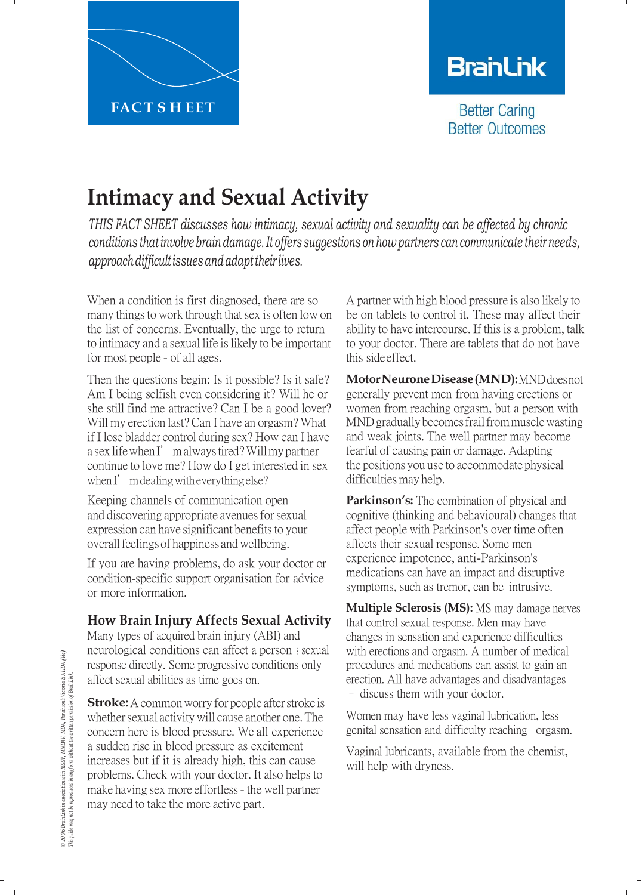

# **BranLink**

**Better Caring Better Outcomes** 

## **Intimacy and Sexual Activity**

*THIS FACT SHEET discusses how intimacy, sexual activity and sexuality can be affected by chronic conditions that involve brain damage. It offers suggestions on how partners can communicate their needs, approachdifficultissuesandadapttheir lives.*

When a condition is first diagnosed, there are so many things to work through that sex is often low on the list of concerns. Eventually, the urge to return to intimacy and a sexual life is likely to be important for most people - of all ages.

Then the questions begin: Is it possible? Is it safe? Am I being selfish even considering it? Will he or she still find me attractive? Can I be a good lover? Will my erection last? Can I have an orgasm? What if I lose bladder control during sex? How can I have a sex lifewhenI'malwaystired?Willmy partner continue to love me? How do I get interested in sex when I' mdealing with everything else?

Keeping channels of communication open and discovering appropriate avenues for sexual expression can have significant benefits to your overall feelings of happiness and wellbeing.

If you are having problems, do ask your doctor or condition-specific support organisation for advice or more information.

## **How Brain Injury Affects Sexual Activity**

Many types of acquired brain injury (ABI) and neurological conditions can affect a person'<sup>s</sup> sexual response directly. Some progressive conditions only affect sexual abilities as time goes on.

**Stroke:** A common worry for people after stroke is whether sexual activity will cause another one. The concern here is blood pressure. We all experience a sudden rise in blood pressure as excitement increases but if it is already high, this can cause problems. Check with your doctor. It also helps to make having sex more effortless- the well partner may need to take the more active part.

A partner with high blood pressure is also likely to be on tablets to control it. These may affect their ability to have intercourse. If this is a problem, talk to your doctor. There are tablets that do not have this side effect.

**Motor Neurone Disease (MND):** MND does not generally prevent men from having erections or women from reaching orgasm, but a person with MND gradually becomes frail from muscle wasting and weak joints. The well partner may become fearful of causing pain or damage. Adapting the positions you use to accommodate physical difficulties may help.

**Parkinson's:** The combination of physical and cognitive (thinking and behavioural) changes that affect people with Parkinson's over time often affects their sexual response. Some men experience impotence, anti-Parkinson's medications can have an impact and disruptive symptoms, such as tremor, can be intrusive.

**Multiple Sclerosis (MS):** MS may damage nerves that control sexual response. Men may have changes in sensation and experience difficulties with erections and orgasm. A number of medical procedures and medications can assist to gain an erection. All have advantages and disadvantages – discuss them with your doctor.

Women may have less vaginal lubrication, less genital sensation and difficulty reaching orgasm.

Vaginal lubricants, available from the chemist, will help with dryness.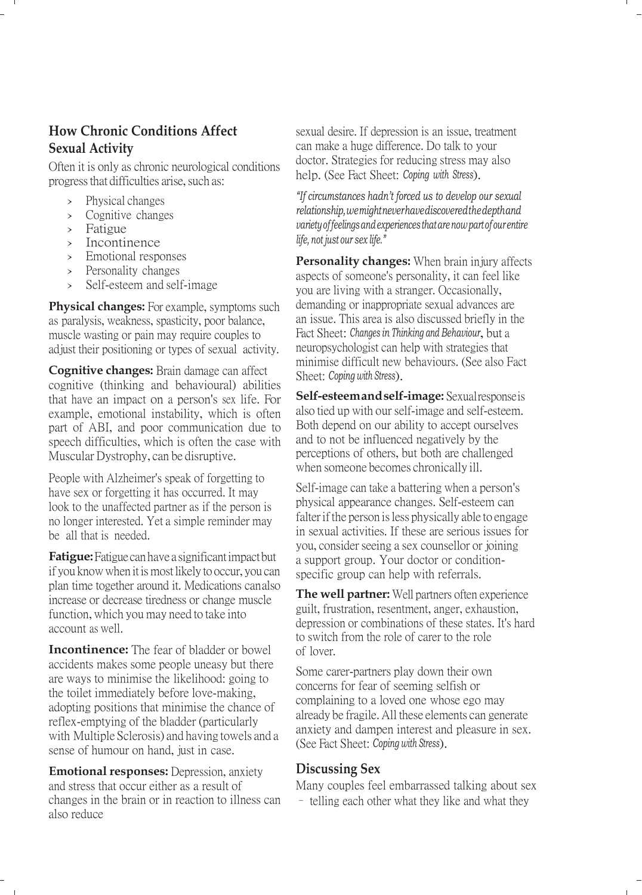## **How Chronic Conditions Affect Sexual Activity**

Often it is only as chronic neurological conditions progress that difficulties arise, such as:

- › Physical changes
- › Cognitive changes
- › Fatigue
- › Incontinence
- › Emotional responses
- › Personality changes
- Self-esteem and self-image

**Physical changes:** For example, symptoms such as paralysis, weakness, spasticity, poor balance, muscle wasting or pain may require couples to adjust their positioning or types of sexual activity.

**Cognitive changes:** Brain damage can affect cognitive (thinking and behavioural) abilities that have an impact on a person's sex life. For example, emotional instability, which is often part of ABI, and poor communication due to speech difficulties, which is often the case with Muscular Dystrophy, can be disruptive.

People with Alzheimer's speak of forgetting to have sex or forgetting it has occurred. It may look to the unaffected partner as if the person is no longer interested. Yet a simple reminder may be all that is needed.

**Fatigue:** Fatigue can have a significant impact but if you know when it ismost likely to occur, you can plan time together around it. Medications canalso increase or decrease tiredness or change muscle function, which you may need to take into account as well.

**Incontinence:** The fear of bladder or bowel accidents makes some people uneasy but there are ways to minimise the likelihood: going to the toilet immediately before love-making, adopting positions that minimise the chance of reflex-emptying of the bladder (particularly with Multiple Sclerosis) and having towels and a sense of humour on hand, just in case.

**Emotional responses:** Depression, anxiety and stress that occur either as a result of changes in the brain or in reaction to illness can also reduce

sexual desire. If depression is an issue, treatment can make a huge difference. Do talk to your doctor. Strategies for reducing stress may also help. (See Fact Sheet: *Coping with Stress*).

*"If circumstances hadn't forced us to develop our sexual relationship, wemight never have discovered the depth and variety offeelings andexperiences that are now part of our entire life, not just our sex life."*

**Personality changes:** When brain injury affects aspects of someone's personality, it can feel like you are living with a stranger. Occasionally, demanding or inappropriate sexual advances are an issue. This area is also discussed briefly in the Fact Sheet: *Changes in Thinking and Behaviour*, but a neuropsychologist can help with strategies that minimise difficult new behaviours. (See also Fact Sheet: *Coping with Stress*).

**Self-esteem and self-image:** Sexual response is also tied up with our self-image and self-esteem. Both depend on our ability to accept ourselves and to not be influenced negatively by the perceptions of others, but both are challenged when someone becomes chronically ill.

Self-image can take a battering when a person's physical appearance changes. Self-esteem can falter if the person is less physically able to engage in sexual activities. If these are serious issues for you, consider seeing a sex counsellor or joining a support group. Your doctor or conditionspecific group can help with referrals.

**The well partner:** Well partners often experience guilt, frustration, resentment, anger, exhaustion, depression or combinations of these states. It's hard to switch from the role of carer to the role of lover.

Some carer-partners play down their own concerns for fear of seeming selfish or complaining to a loved one whose ego may already be fragile. All these elements can generate anxiety and dampen interest and pleasure in sex. (See Fact Sheet: *Coping with Stress*).

#### **Discussing Sex**

Many couples feel embarrassed talking about sex – telling each other what they like and what they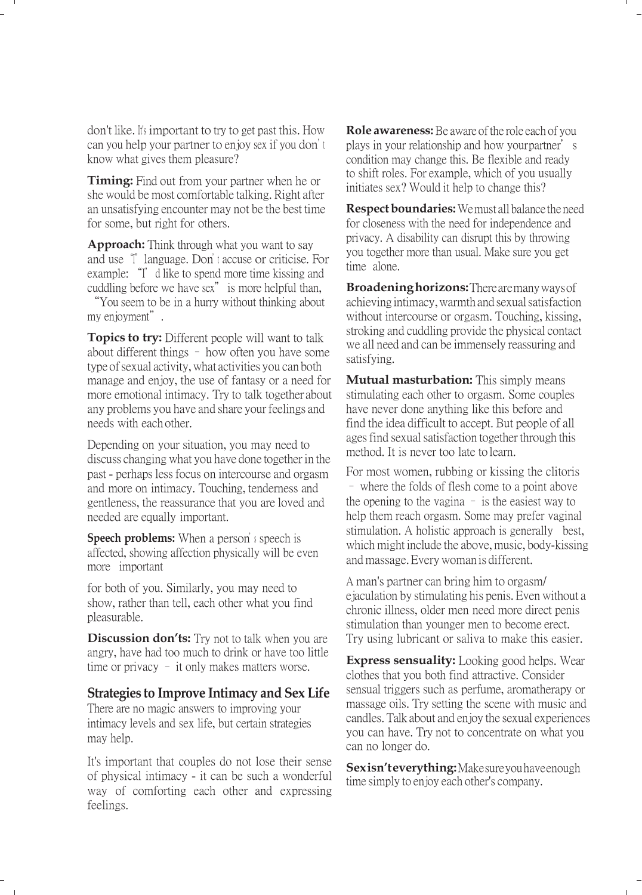don't like. <sup>I</sup>t's important to try to get past this. How can you help your partner to enjoy sex if you don't know what gives them pleasure?

**Timing:** Find out from your partner when he or she would be most comfortable talking. Right after an unsatisfying encounter may not be the best time for some, but right for others.

**Approach:** Think through what you want to say and use "I" language. Don'<sup>t</sup> accuse or criticise. For example: "I'd like to spend more time kissing and cuddling before we have sex" is more helpful than,

"You seem to be in a hurry without thinking about my enjoyment".

**Topics to try:** Different people will want to talk about different things – how often you have some type of sexual activity, what activities you can both manage and enjoy, the use of fantasy or a need for more emotional intimacy. Try to talk together about any problems you have and share your feelings and needs with each other.

Depending on your situation, you may need to discuss changing what you have done together in the past - perhaps less focus on intercourse and orgasm and more on intimacy. Touching, tenderness and gentleness, the reassurance that you are loved and needed are equally important.

**Speech problems:** When a person'<sup>s</sup> speech is affected, showing affection physically will be even more important

for both of you. Similarly, you may need to show, rather than tell, each other what you find pleasurable.

**Discussion don'ts:** Try not to talk when you are angry, have had too much to drink or have too little time or privacy – it only makes matters worse.

#### **Strategies to Improve Intimacy and Sex Life**

There are no magic answers to improving your intimacy levels and sex life, but certain strategies may help.

It's important that couples do not lose their sense of physical intimacy - it can be such a wonderful way of comforting each other and expressing feelings.

**Role awareness:** Be aware of the role each of you plays in your relationship and how your partner's condition may change this. Be flexible and ready to shift roles. For example, which of you usually initiates sex? Would it help to change this?

**Respect boundaries:** Wemust all balance the need for closeness with the need for independence and privacy. A disability can disrupt this by throwing you together more than usual. Make sure you get time alone.

**Broadening horizons:** There are many ways of achieving intimacy, warmth and sexual satisfaction without intercourse or orgasm. Touching, kissing, stroking and cuddling provide the physical contact we all need and can be immensely reassuring and satisfying.

**Mutual masturbation:** This simply means stimulating each other to orgasm. Some couples have never done anything like this before and find the idea difficult to accept. But people of all ages find sexual satisfaction together through this method. It is never too late to learn.

For most women, rubbing or kissing the clitoris – where the folds of flesh come to a point above the opening to the vagina – is the easiest way to help them reach orgasm. Some may prefer vaginal stimulation. A holistic approach is generally best, which might include the above, music, body-kissing and massage. Every woman is different.

A man's partner can bring him to orgasm/ ejaculation by stimulating his penis. Even without a chronic illness, older men need more direct penis stimulation than younger men to become erect. Try using lubricant or saliva to make this easier.

**Express sensuality:** Looking good helps. Wear clothes that you both find attractive. Consider sensual triggers such as perfume, aromatherapy or massage oils. Try setting the scene with music and candles. Talk about and enjoy the sexual experiences you can have. Try not to concentrate on what you can no longer do.

**Sex isn'teverything:** Make sure you have enough time simply to enjoy each other's company.